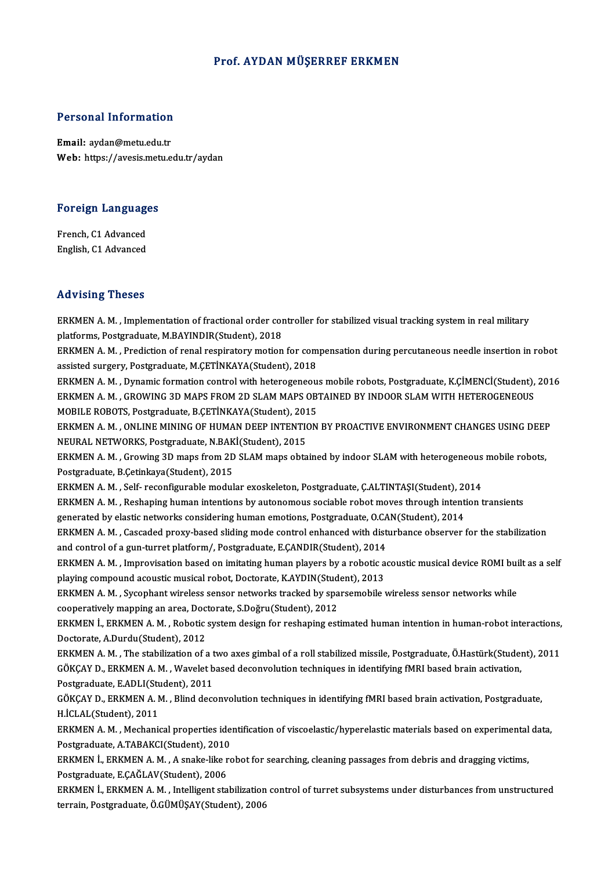#### Prof. AYDAN MÜŞERREF ERKMEN

# Personal Information

Personal Information<br>Email: aydan@metu.edu.tr<br>Web: https://ayosis.metu.e Email: aydan@metu.edu.tr<br>Web: https://avesis.metu.edu.tr/aydan

# Foreign Languages

**Foreign Language<br>French, C1 Advanced<br>English C1 Advanced** French, C1 Advanced<br>English, C1 Advanced

#### Advising Theses

Advising Theses<br>ERKMEN A. M. , Implementation of fractional order controller for stabilized visual tracking system in real military<br>Platforms, Restance usta. M.PAVINDIR(Student), 2019. Platforms, Presses<br>ERKMEN A. M. , Implementation of fractional order cor<br>platforms, Postgraduate, M.BAYINDIR(Student), 2018<br>ERKMEN A. M. , Prediction of ronal respiratory metion ERKMEN A. M. , Implementation of fractional order controller for stabilized visual tracking system in real military<br>platforms, Postgraduate, M.BAYINDIR(Student), 2018<br>ERKMEN A. M. , Prediction of renal respiratory motion f

platforms, Postgraduate, M.BAYINDIR(Student), 2018<br>ERKMEN A. M. , Prediction of renal respiratory motion for compensation during percutaneous needle insertion in robot<br>assisted surgery, Postgraduate, M.ÇETİNKAYA(Student), ERKMEN A. M. , Prediction of renal respiratory motion for compensation during percutaneous needle insertion in robot<br>assisted surgery, Postgraduate, M.ÇETİNKAYA(Student), 2018<br>ERKMEN A. M. , Dynamic formation control with

assisted surgery, Postgraduate, M.ÇETİNKAYA(Student), 2018<br>ERKMEN A. M. , Dynamic formation control with heterogeneous mobile robots, Postgraduate, K.ÇİMENCİ(Student),<br>ERKMEN A. M. , GROWING 3D MAPS FROM 2D SLAM MAPS OBTAI ERKMEN A. M. , Dynamic formation control with heterogeneou:<br>ERKMEN A. M. , GROWING 3D MAPS FROM 2D SLAM MAPS OB<br>MOBILE ROBOTS, Postgraduate, B.ÇETİNKAYA(Student), 2015<br>ERKMEN A. M. , ONLINE MINING OF HUMAN DEER INTENTION ERKMEN A. M. , GROWING 3D MAPS FROM 2D SLAM MAPS OBTAINED BY INDOOR SLAM WITH HETEROGENEOUS<br>MOBILE ROBOTS, Postgraduate, B.ÇETİNKAYA(Student), 2015<br>ERKMEN A. M. , ONLINE MINING OF HUMAN DEEP INTENTION BY PROACTIVE ENVIRONM

MOBILE ROBOTS, Postgraduate, B.ÇETİNKAYA(Student), 201<br>ERKMEN A. M. , ONLINE MINING OF HUMAN DEEP INTENTIONEURAL NETWORKS, Postgraduate, N.BAKİ(Student), 2015<br>ERKMEN A. M. , Crowing 3D mans from 2D SLAM mans obta ERKMEN A. M. , ONLINE MINING OF HUMAN DEEP INTENTION BY PROACTIVE ENVIRONMENT CHANGES USING DEEF<br>NEURAL NETWORKS, Postgraduate, N.BAKİ(Student), 2015<br>ERKMEN A. M. , Growing 3D maps from 2D SLAM maps obtained by indoor SLAM

NEURAL NETWORKS, Postgraduate, N.BAK<br>ERKMEN A. M. , Growing 3D maps from 2D<br>Postgraduate, B.Çetinkaya(Student), 2015<br>ERKMEN A. M., Self. reconfigurable modul ERKMEN A. M. , Growing 3D maps from 2D SLAM maps obtained by indoor SLAM with heterogeneous<br>Postgraduate, B.Çetinkaya(Student), 2015<br>ERKMEN A. M. , Self- reconfigurable modular exoskeleton, Postgraduate, Ç.ALTINTAŞI(Studen

Postgraduate, B.Çetinkaya(Student), 2015<br>ERKMEN A. M. , Self- reconfigurable modular exoskeleton, Postgraduate, Ç.ALTINTAŞI(Student), 2014<br>ERKMEN A. M. , Reshaping human intentions by autonomous sociable robot moves throug ERKMEN A. M. , Self- reconfigurable modular exoskeleton, Postgraduate, Ç.ALTINTAŞI(Student), 2014<br>ERKMEN A. M. , Reshaping human intentions by autonomous sociable robot moves through intent<br>generated by elastic networks co ERKMEN A. M. , Reshaping human intentions by autonomous sociable robot moves through intention transients<br>generated by elastic networks considering human emotions, Postgraduate, O.CAN(Student), 2014<br>ERKMEN A. M. , Cascaded

generated by elastic networks considering human emotions, Postgraduate, O.CAN(Student), 2014<br>ERKMEN A. M. , Cascaded proxy-based sliding mode control enhanced with disturbance observer for the stabilization<br>and control of ERKMEN A.M., Cascaded proxy-based sliding mode control enhanced with disturbance observer for the stabilization and control of a gun-turret platform/, Postgraduate, E.CANDIR(Student), 2014

playing compound acoustic musical robot, Doctorate, K.AYDIN(Student), 2013

ERKMEN A. M. , Sycophant wireless sensor networks tracked by sparsemobile wireless sensor networks while<br>cooperatively mapping an area, Doctorate, S.Doğru(Student), 2012 ERKMEN A. M. , Sycophant wireless sensor networks tracked by sparsemobile wireless sensor networks while<br>cooperatively mapping an area, Doctorate, S.Doğru(Student), 2012<br>ERKMEN İ., ERKMEN A. M. , Robotic system design for

Doctorate,A.Durdu(Student),2012 ERKMEN İ., ERKMEN A. M. , Robotic system design for reshaping estimated human intention in human-robot interactions,<br>Doctorate, A.Durdu(Student), 2012<br>ERKMEN A. M. , The stabilization of a two axes gimbal of a roll stabili

Doctorate, A.Durdu(Student), 2012<br>ERKMEN A. M. , The stabilization of a two axes gimbal of a roll stabilized missile, Postgraduate, Ö.Hastürk(Studen<br>GÖKÇAY D., ERKMEN A. M. , Wavelet based deconvolution techniques in ident ERKMEN A. M. , The stabilization of a t<br>GÖKÇAY D., ERKMEN A. M. , Wavelet b<br>Postgraduate, E.ADLI(Student), 2011<br>GÖKÇAY D., ERKMEN A. M., Blind dece Postgraduate, E.ADLI(Student), 2011

GÖKÇAY D., ERKMEN A. M. , Wavelet based deconvolution techniques in identifying fMRI based brain activation,<br>Postgraduate, E.ADLI(Student), 2011<br>GÖKÇAY D., ERKMEN A. M. , Blind deconvolution techniques in identifying fMRI GÖKÇAY D., ERKMEN A. M. , Blind deconvolution techniques in identifying fMRI based brain activation, Postgraduate,<br>H.İCLAL(Student), 2011<br>ERKMEN A. M. , Mechanical properties identification of viscoelastic/hyperelastic mat

H.İCLAL(Student), 2011<br>ERKMEN A. M. , Mechanical properties ide<br>Postgraduate, A.TABAKCI(Student), 2010<br>ERKMEN İ. ERKMEN A. M. , A.STRİS İİKR ES ERKMEN A. M. , Mechanical properties identification of viscoelastic/hyperelastic materials based on experimental<br>Postgraduate, A.TABAKCI(Student), 2010<br>ERKMEN İ., ERKMEN A. M. , A snake-like robot for searching, cleaning p

Postgraduate, A.TABAKCI(Student), 2010<br>ERKMEN İ., ERKMEN A. M. , A snake-like robot for searching, cleaning passages from debris and dragging victims,<br>Postgraduate, E.ÇAĞLAV(Student), 2006

ERKMEN İ., ERKMEN A.M., Intelligent stabilization control of turret subsystems under disturbances from unstructured terrain, Postgraduate, Ö.GÜMÜŞAY(Student), 2006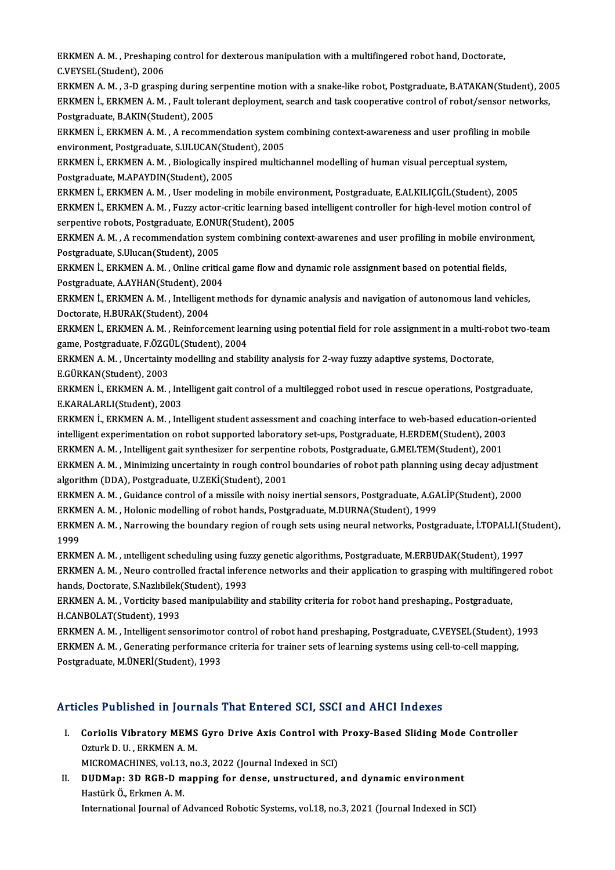ERKMEN A. M. , Preshaping control for dexterous manipulation with a multifingered robot hand, Doctorate,<br>C.VEVSEL(Student), 2006 ERKMEN A. M. , Preshaping<br>C.VEYSEL(Student), 2006<br>ERKMEN A. M. - 2. D. STROPI C.VEYSEL(Student), 2006<br>ERKMEN A. M. , 3-D grasping during serpentine motion with a snake-like robot, Postgraduate, B.ATAKAN(Student), 2005

C.VEYSEL(Student), 2006<br>ERKMEN A. M. , 3-D grasping during serpentine motion with a snake-like robot, Postgraduate, B.ATAKAN(Student), 200<br>ERKMEN İ., ERKMEN A. M. , Fault tolerant deployment, search and task cooperative co ERKMEN A. M. , 3-D grasping during se<br>ERKMEN İ., ERKMEN A. M. , Fault toler<br>Postgraduate, B.AKIN(Student), 2005<br>ERKMEN İ. ERKMEN A. M. , A rocomm ERKMEN İ., ERKMEN A. M. , Fault tolerant deployment, search and task cooperative control of robot/sensor netwo<br>Postgraduate, B.AKIN(Student), 2005<br>ERKMEN İ., ERKMEN A. M. , A recommendation system combining context-awarene

Postgraduate, B.AKIN(Student), 2005<br>ERKMEN İ., ERKMEN A. M. , A recommendation system<br>environment, Postgraduate, S.ULUCAN(Student), 2005<br>ERKMEN İ. ERKMEN A. M. - Biologically inspired multicl ERKMEN İ., ERKMEN A. M. , A recommendation system combining context-awareness and user profiling in m<br>environment, Postgraduate, S.ULUCAN(Student), 2005<br>ERKMEN İ., ERKMEN A. M. , Biologically inspired multichannel modellin

environment, Postgraduate, S.ULUCAN(Student), 2005<br>ERKMEN İ., ERKMEN A. M. , Biologically inspired multichannel modelling of human visual perceptual system,<br>Postgraduate, M.APAYDIN(Student), 2005 ERKMEN İ., ERKMEN A. M. , Biologically inspired multichannel modelling of human visual perceptual system,<br>Postgraduate, M.APAYDIN(Student), 2005<br>ERKMEN İ., ERKMEN A. M. , User modeling in mobile environment, Postgraduate,

ERKMEN İ., ERKMEN A.M., Fuzzy actor-critic learning based intelligent controller for high-level motion control of<br>serpentive robots, Postgraduate, E.ONUR(Student), 2005 ERKMEN İ., ERKMEN A. M. , User modeling in mobile envir<br>ERKMEN İ., ERKMEN A. M. , Fuzzy actor-critic learning bas<br>serpentive robots, Postgraduate, E.ONUR(Student), 2005<br>ERKMEN A. M. A recommendation system combining con ERKMEN İ., ERKMEN A. M. , Fuzzy actor-critic learning based intelligent controller for high-level motion control of<br>serpentive robots, Postgraduate, E.ONUR(Student), 2005<br>ERKMEN A. M. , A recommendation system combining co

Serpentive robots, Postgraduate, E.ONU<br>ERKMEN A. M. , A recommendation syst<br>Postgraduate, S.Ulucan(Student), 2005<br>ERKMEN L. ERKMEN A. M., Online gritic ERKMEN A. M. , A recommendation system combining context-awarenes and user profiling in mobile envirol<br>Postgraduate, S.Ulucan(Student), 2005<br>ERKMEN İ., ERKMEN A. M. , Online critical game flow and dynamic role assignment b

Postgraduate, S.Ulucan(Student), 2005<br>ERKMEN İ., ERKMEN A. M. , Online critica<br>Postgraduate, A.AYHAN(Student), 2004<br>ERKMEN İ. ERKMEN A. M. , İntelligent m ERKMEN İ., ERKMEN A. M. , Online critical game flow and dynamic role assignment based on potential fields,<br>Postgraduate, A.AYHAN(Student), 2004<br>ERKMEN İ., ERKMEN A. M. , Intelligent methods for dynamic analysis and navigat Postgraduate, A.AYHAN(Student), 2004

ERKMEN İ., ERKMEN A. M. , Intelligent methods for dynamic analysis and navigation of autonomous land vehicles,<br>Doctorate, H.BURAK(Student), 2004<br>ERKMEN İ., ERKMEN A. M. , Reinforcement learning using potential field for ro

Doctorate, H.BURAK(Student), 2004<br>ERKMEN İ., ERKMEN A. M. , Reinforcement lea<br>game, Postgraduate, F.ÖZGÜL(Student), 2004<br>ERKMEN A. M., Unsentainty modelling and stal ERKMEN İ., ERKMEN A. M. , Reinforcement learning using potential field for role assignment in a multi-ro<br>game, Postgraduate, F.ÖZGÜL(Student), 2004<br>ERKMEN A. M. , Uncertainty modelling and stability analysis for 2-way fuzz

game, Postgraduate, F.ÖZGÜL(Student), 2004<br>ERKMEN A. M. , Uncertainty modelling and stability analysis for 2-way fuzzy adaptive systems, Doctorate,<br>E.GÜRKAN(Student), 2003 ERKMEN A. M. , Uncertainty modelling and stability analysis for 2-way fuzzy adaptive systems, Doctorate,<br>E.GÜRKAN(Student), 2003<br>ERKMEN İ., ERKMEN A. M. , Intelligent gait control of a multilegged robot used in rescue oper

E.GÜRKAN(Student), 2003<br>ERKMEN İ., ERKMEN A. M. , Int<br>E.KARALARLI(Student), 2003<br>ERKMEN İ. ERKMEN A. M. , Int ERKMEN İ., ERKMEN A. M. , Intelligent gait control of a multilegged robot used in rescue operations, Postgraduate,<br>E.KARALARLI(Student), 2003<br>ERKMEN İ., ERKMEN A. M. , Intelligent student assessment and coaching interface

E.KARALARLI(Student), 2003<br>ERKMEN İ., ERKMEN A. M. , Intelligent student assessment and coaching interface to web-based education-or<br>intelligent experimentation on robot supported laboratory set-ups, Postgraduate, H.ERDEM( ERKMEN İ., ERKMEN A. M. , Intelligent student assessment and coaching interface to web-based education-off intelligent experimentation on robot supported laboratory set-ups, Postgraduate, H.ERDEM(Student), 2003<br>ERKMEN A. M

intelligent experimentation on robot supported laboratory set-ups, Postgraduate, H.ERDEM(Student), 2003<br>ERKMEN A. M. , Intelligent gait synthesizer for serpentine robots, Postgraduate, G.MELTEM(Student), 2001<br>ERKMEN A. M. ERKMEN A. M. , Intelligent gait synthesizer for serpentine robots, Postgraduate, G.MELTEM(Student), 2001<br>ERKMEN A. M. , Minimizing uncertainty in rough control boundaries of robot path planning using decay adjustm<br>algorith ERKMEN A. M. , Minimizing uncertainty in rough control boundaries of robot path planning using decay adjustm<br>algorithm (DDA), Postgraduate, U.ZEKİ(Student), 2001<br>ERKMEN A. M. , Guidance control of a missile with noisy iner

ERKMEN A. M., Holonic modelling of robot hands, Postgraduate, M.DURNA(Student), 1999

ERKMEN A. M. , Guidance control of a missile with noisy inertial sensors, Postgraduate, A.GALİP(Student), 2000<br>ERKMEN A. M. , Holonic modelling of robot hands, Postgraduate, M.DURNA(Student), 1999<br>ERKMEN A. M. , Narrowing ERKM<br>ERKM<br>1999<br>ERKM ERKMEN A. M. , Narrowing the boundary region of rough sets using neural networks, Postgraduate, İ.TOPALLI(S<br>1999<br>ERKMEN A. M. , intelligent scheduling using fuzzy genetic algorithms, Postgraduate, M.ERBUDAK(Student), 1997<br>

1999<br>ERKMEN A. M. , intelligent scheduling using fuzzy genetic algorithms, Postgraduate, M.ERBUDAK(Student), 1997<br>ERKMEN A. M. , Neuro controlled fractal inference networks and their application to grasping with multifinge ERKMEN A. M. , intelligent scheduling using fuzzy genetic algorithms, Postgraduate, M.ERBUDAK(Student), 1997<br>ERKMEN A. M. , Neuro controlled fractal inference networks and their application to grasping with multifingered<br>h ERKMEN A. M. , Neuro controlled fractal inference networks and their application to grasping with multifinger<br>hands, Doctorate, S.Nazlıbilek(Student), 1993<br>ERKMEN A. M. , Vorticity based manipulability and stability criter

H.CANBOLAT(Student),1993 ERKMEN A. M. , Vorticity based manipulability and stability criteria for robot hand preshaping., Postgraduate,<br>H.CANBOLAT(Student), 1993<br>ERKMEN A. M. , Intelligent sensorimotor control of robot hand preshaping, Postgraduat

H.CANBOLAT(Student), 1993<br>ERKMEN A. M. , Intelligent sensorimotor control of robot hand preshaping, Postgraduate, C.VEYSEL(Student), 1<br>ERKMEN A. M. , Generating performance criteria for trainer sets of learning systems usi ERKMEN A. M. , Intelligent sensorimotor<br>ERKMEN A. M. , Generating performance<br>Postgraduate, M.ÜNERİ(Student), 1993

# Postgraduate, M.ÜNERİ(Student), 1993<br>Articles Published in Journals That Entered SCI. SSCI and AHCI Indexes

Tricles Published in Journals That Entered SCI, SSCI and AHCI Indexes<br>I. Coriolis Vibratory MEMS Gyro Drive Axis Control with Proxy-Based Sliding Mode Controller<br>Otturk D. U. ERKMEN A.M Coriolis Vibratory MEMS<br>Ozturk D. U. , ERKMEN A. M.<br>MICROMACHINES .vol 12, no Coriolis Vibratory MEMS Gyro Drive Axis Control with<br>Ozturk D. U. , ERKMEN A. M.<br>MICROMACHINES, vol.13, no.3, 2022 (Journal Indexed in SCI)<br>PHPMen: 2D BCB. D. manning for dance, unstructured

MICROMACHINES, vol.13, no.3, 2022 (Journal Indexed in SCI)

Ozturk D. U., ERKMEN A. M.<br>MICROMACHINES, vol.13, no.3, 2022 (Journal Indexed in SCI)<br>II. DUDMap: 3D RGB-D mapping for dense, unstructured, and dynamic environment<br>Hastürk Ö., Erkmen A. M. International Journal of Advanced Robotic Systems, vol.18, no.3, 2021 (Journal Indexed in SCI)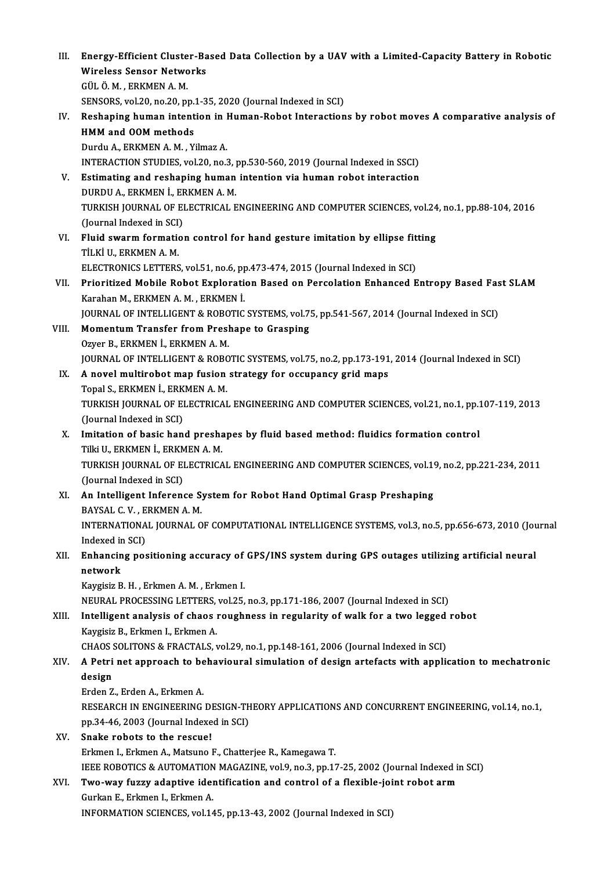- III. Energy-Efficient Cluster-Based Data Collection by a UAV with a Limited-Capacity Battery in Robotic<br>Wineless Sansor Natworks Energy-Efficient Cluster-Ba<br>Wireless Sensor Networks<br>CÜLÖ M. ERKMENA M Energy-Efficient Cluste<br>Wireless Sensor Netwo<br>GÜL Ö. M. , ERKMEN A. M.<br>SENSOPS 110 30 no 30 ni Wireless Sensor Networks<br>GÜL Ö. M. , ERKMEN A. M.<br>SENSORS, vol.20, no.20, pp.1-35, 2020 (Journal Indexed in SCI)<br>Beskaping human intention in Human Babat Intensation GÜL Ö. M. , ERKMEN A. M.<br>SENSORS, vol.20, no.20, pp.1-35, 2020 (Journal Indexed in SCI)<br>IV. Reshaping human intention in Human-Robot Interactions by robot moves A comparative analysis of<br>HMM and OOM methods SENSORS, vol.20, no.20, pp.<br>Reshaping human intent<br>HMM and OOM methods<br>Durdu A, EPKMEN A M, V. Reshaping human intention in 1<br>HMM and OOM methods<br>Durdu A., ERKMEN A. M. , Yilmaz A.<br>INTERACTION STUDIES vol 20 no 3 HMM and OOM methods<br>Durdu A., ERKMEN A. M. , Yilmaz A.<br>INTERACTION STUDIES, vol.20, no.3, pp.530-560, 2019 (Journal Indexed in SSCI)<br>Estimating and reshaning human intention via human rebet interaction Durdu A., ERKMEN A. M. , Yilmaz A.<br>INTERACTION STUDIES, vol.20, no.3, pp.530-560, 2019 (Journal Indexed in SSCI)<br>V. Estimating and reshaping human intention via human robot interaction<br>DUPDU A. ERKMEN I. ERKMEN A. M. INTERACTION STUDIES, vol.20, no.3, j<br>Estimating and reshaping human<br>DURDU A., ERKMEN İ., ERKMEN A. M.<br>TURKISH JOURNAL OF ELECTRICAL E V. Estimating and reshaping human intention via human robot interaction<br>DURDU A., ERKMEN İ., ERKMEN A. M.<br>TURKISH JOURNAL OF ELECTRICAL ENGINEERING AND COMPUTER SCIENCES, vol.24, no.1, pp.88-104, 2016<br>(Journal Indexed in S DURDU A., ERKMEN İ., ERKMEN A.M. TURKISH JOURNAL OF ELECTRICAL ENGINEERING AND COMPUTER SCIENCES, vol.24<br>(Journal Indexed in SCI)<br>VI. Fluid swarm formation control for hand gesture imitation by ellipse fitting<br>Til Vi II. ERKMEN A.M. (Journal Indexed in SCI)<br>Fluid swarm formatic<br>TİLKİ U., ERKMEN A. M.<br>ELECTRONICS LETTERS Fluid swarm formation control for hand gesture imitation by ellipse fit<br>TİLKİ U., ERKMEN A. M.<br>ELECTRONICS LETTERS, vol.51, no.6, pp.473-474, 2015 (Journal Indexed in SCI)<br>Prioritized Mebile Pobet Evrlenation Besed en Pers TİLKİ U., ERKMEN A. M.<br>ELECTRONICS LETTERS, vol.51, no.6, pp.473-474, 2015 (Journal Indexed in SCI)<br>VII. Prioritized Mobile Robot Exploration Based on Percolation Enhanced Entropy Based Fast SLAM<br> ELECTRONICS LETTERS, vol.51, no.6, p<sub>r</sub><br>Prioritized Mobile Robot Explorati<br>Karahan M., ERKMEN A. M. , ERKMEN İ.<br>JOUPNAL OF INTELLICENT & ROBOTIC Prioritized Mobile Robot Exploration Based on Percolation Enhanced Entropy Based Fas<br>Karahan M., ERKMEN A. M. , ERKMEN İ.<br>JOURNAL OF INTELLIGENT & ROBOTIC SYSTEMS, vol.75, pp.541-567, 2014 (Journal Indexed in SCI)<br>Momentum Karahan M., ERKMEN A. M., ERKMEN İ.<br>JOURNAL OF INTELLIGENT & ROBOTIC SYSTEMS, vol.7!<br>VIII. Momentum Transfer from Preshape to Grasping<br>Owen B. ERKMEN İ. ERKMEN A. M. JOURNAL OF INTELLIGENT & ROBO<br>Momentum Transfer from Presl<br>Ozyer B., ERKMEN İ., ERKMEN A. M.<br>JOUPNAL OF INTELLICENT & ROBO Ozyer B., ERKMEN İ., ERKMEN A. M.<br>JOURNAL OF INTELLIGENT & ROBOTIC SYSTEMS, vol.75, no.2, pp.173-191, 2014 (Journal Indexed in SCI) IX. A novel multirobot map fusion strategy for occupancy grid maps **JOURNAL OF INTELLIGENT & ROBON**<br>**A novel multirobot map fusion<br>Topal S., ERKMEN İ., ERKMEN A. M.<br>TURKISH JOURNAL OF ELECTRICAL** A novel multirobot map fusion strategy for occupancy grid maps<br>Topal S., ERKMEN İ., ERKMEN A. M.<br>TURKISH JOURNAL OF ELECTRICAL ENGINEERING AND COMPUTER SCIENCES, vol.21, no.1, pp.107-119, 2013<br>(Journal Indoved in SCL) Topal S., ERKMEN İ., ERK<br>TURKISH JOURNAL OF EI<br>(Journal Indexed in SCI)<br>Imitation of basis ban TURKISH JOURNAL OF ELECTRICAL ENGINEERING AND COMPUTER SCIENCES, vol.21, no.1, pp.1<br>(Journal Indexed in SCI)<br>X. Imitation of basic hand preshapes by fluid based method: fluidics formation control<br>Till IL ERKMEN L ERKMEN A. (Journal Indexed in SCI)<br>X. Imitation of basic hand preshapes by fluid based method: fluidics formation control<br>Tilki U., ERKMEN İ., ERKMEN A. M. TURKISH JOURNAL OF ELECTRICAL ENGINEERING AND COMPUTER SCIENCES, vol.19, no.2, pp.221-234, 2011 (Journal Indexed in SCI) TURKISH JOURNAL OF ELECTRICAL ENGINEERING AND COMPUTER SCIENCES, vol.19<br>(Journal Indexed in SCI)<br>XI. An Intelligent Inference System for Robot Hand Optimal Grasp Preshaping<br>PAVSAL G.V. EPKMEN A.M (Journal Indexed in SCI)<br>**An Intelligent Inference S**<br>BAYSAL C.V., ERKMEN A.M.<br>INTERNATIONAL IOURNAL O An Intelligent Inference System for Robot Hand Optimal Grasp Preshaping<br>BAYSAL C. V. , ERKMEN A. M.<br>INTERNATIONAL JOURNAL OF COMPUTATIONAL INTELLIGENCE SYSTEMS, vol.3, no.5, pp.656-673, 2010 (Journal<br>Indeved in SCL) BAYSAL C.V., E<br>INTERNATIONA<br>Indexed in SCI)<br>Enhanging nos INTERNATIONAL JOURNAL OF COMPUTATIONAL INTELLIGENCE SYSTEMS, vol.3, no.5, pp.656-673, 2010 (Journal indexed in SCI)<br>XII. Enhancing positioning accuracy of GPS/INS system during GPS outages utilizing artificial neural<br>netwo Indexed i<mark>r</mark><br>Enhancin<br>network<br>Kavgisin P Enhancing positioning accuracy of<br>network<br>Kaygisiz B. H. , Erkmen A. M. , Erkmen I.<br>NEUPAL PROCESSING LETTERS, val 25 network<br>Kaygisiz B. H. , Erkmen A. M. , Erkmen I.<br>NEURAL PROCESSING LETTERS, vol.25, no.3, pp.171-186, 2007 (Journal Indexed in SCI) Kaygisiz B. H., Erkmen A. M., Erkmen I.<br>NEURAL PROCESSING LETTERS, vol.25, no.3, pp.171-186, 2007 (Journal Indexed in SCI)<br>XIII. Intelligent analysis of chaos roughness in regularity of walk for a two legged robot<br>Kaygisiz NEURAL PROCESSING LETTERS,<br>Intelligent analysis of chaos<br>Kaygisiz B., Erkmen I., Erkmen A.<br>CHAOS SOLITONS & ERACTALS Intelligent analysis of chaos roughness in regularity of walk for a two legged<br>Kaygisiz B., Erkmen I., Erkmen A.<br>CHAOS SOLITONS & FRACTALS, vol.29, no.1, pp.148-161, 2006 (Journal Indexed in SCI)<br>A Petri not annreach to be Kaygisiz B., Erkmen I., Erkmen A.<br>CHAOS SOLITONS & FRACTALS, vol.29, no.1, pp.148-161, 2006 (Journal Indexed in SCI)<br>XIV. A Petri net approach to behavioural simulation of design artefacts with application to mechatron CHAOS S<br>**A Petri<br>design**<br>Erden 7 A Petri net approach to be<br>design<br>Erden Z., Erden A., Erkmen A.<br>PESEAPCH IN ENCINEEPINC design<br>Erden Z., Erden A., Erkmen A.<br>RESEARCH IN ENGINEERING DESIGN-THEORY APPLICATIONS AND CONCURRENT ENGINEERING, vol.14, no.1,<br>nn 34,46, 2003 (Journal Indoved in SCI) Erden Z., Erden A., Erkmen A.<br>RESEARCH IN ENGINEERING DESIGN-TH<br>pp.34-46, 2003 (Journal Indexed in SCI)<br>Snake rebets to the ressuel
- pp.34-46, 2003 (Journal Indexed in SCI)<br>XV. Snake robots to the rescue! Erkmen I., Erkmen A., Matsuno F., Chatterjee R., Kamegawa T. Snake robots to the rescue!<br>Erkmen I., Erkmen A., Matsuno F., Chatterjee R., Kamegawa T.<br>IEEE ROBOTICS & AUTOMATION MAGAZINE, vol.9, no.3, pp.17-25, 2002 (Journal Indexed in SCI)<br>Two way fuggy adaptive identification and s Erkmen I., Erkmen A., Matsuno F., Chatterjee R., Kamegawa T.<br>IEEE ROBOTICS & AUTOMATION MAGAZINE, vol.9, no.3, pp.17-25, 2002 (Journal Indexed in<br>XVI. Two-way fuzzy adaptive identification and control of a flexible-joint r

## IEEE ROBOTICS & AUTOMATION<br>**Two-way fuzzy adaptive ide**<br>Gurkan E., Erkmen I., Erkmen A.<br>INFORMATION SCIENCES vol 14 XVI. Two-way fuzzy adaptive identification and control of a flexible-joint robot arm<br>Gurkan E., Erkmen I., Erkmen A.<br>INFORMATION SCIENCES, vol.145, pp.13-43, 2002 (Journal Indexed in SCI)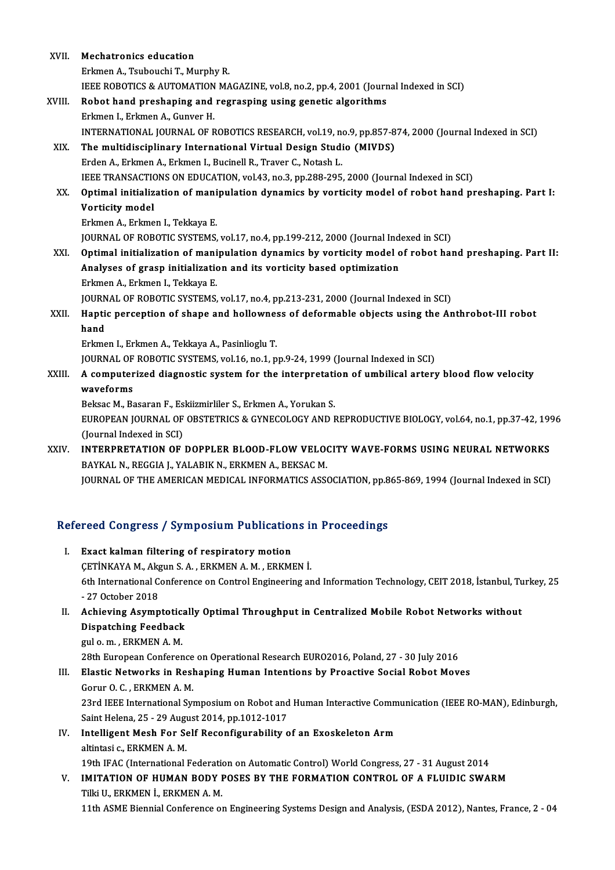| XVII.                                                     | <b>Mechatronics education</b>                                                                         |  |
|-----------------------------------------------------------|-------------------------------------------------------------------------------------------------------|--|
|                                                           | Erkmen A., Tsubouchi T., Murphy R.                                                                    |  |
|                                                           | IEEE ROBOTICS & AUTOMATION MAGAZINE, vol.8, no.2, pp.4, 2001 (Journal Indexed in SCI)                 |  |
| XVIII.                                                    | Robot hand preshaping and regrasping using genetic algorithms                                         |  |
|                                                           | Erkmen I., Erkmen A., Gunver H.                                                                       |  |
|                                                           | INTERNATIONAL JOURNAL OF ROBOTICS RESEARCH, vol.19, no.9, pp.857-874, 2000 (Journal Indexed in SCI)   |  |
| XIX.                                                      | The multidisciplinary International Virtual Design Studio (MIVDS)                                     |  |
|                                                           | Erden A., Erkmen A., Erkmen I., Bucinell R., Traver C., Notash L.                                     |  |
|                                                           | IEEE TRANSACTIONS ON EDUCATION, vol.43, no.3, pp.288-295, 2000 (Journal Indexed in SCI)               |  |
| XX.                                                       | Optimal initialization of manipulation dynamics by vorticity model of robot hand preshaping. Part I:  |  |
|                                                           | Vorticity model                                                                                       |  |
|                                                           | Erkmen A., Erkmen I., Tekkaya E.                                                                      |  |
|                                                           | JOURNAL OF ROBOTIC SYSTEMS, vol.17, no.4, pp.199-212, 2000 (Journal Indexed in SCI)                   |  |
| XXI.                                                      | Optimal initialization of manipulation dynamics by vorticity model of robot hand preshaping. Part II: |  |
|                                                           | Analyses of grasp initialization and its vorticity based optimization                                 |  |
|                                                           | Erkmen A., Erkmen I., Tekkaya E.                                                                      |  |
|                                                           | JOURNAL OF ROBOTIC SYSTEMS, vol.17, no.4, pp.213-231, 2000 (Journal Indexed in SCI)                   |  |
| XXII.                                                     | Haptic perception of shape and hollowness of deformable objects using the Anthrobot-III robot         |  |
|                                                           | hand                                                                                                  |  |
|                                                           | Erkmen I., Erkmen A., Tekkaya A., Pasinlioglu T.                                                      |  |
|                                                           | JOURNAL OF ROBOTIC SYSTEMS, vol.16, no.1, pp.9-24, 1999 (Journal Indexed in SCI)                      |  |
| XXIII.                                                    | A computerized diagnostic system for the interpretation of umbilical artery blood flow velocity       |  |
|                                                           | waveforms                                                                                             |  |
|                                                           | Beksac M., Basaran F., Eskiizmirliler S., Erkmen A., Yorukan S.                                       |  |
|                                                           | EUROPEAN JOURNAL OF OBSTETRICS & GYNECOLOGY AND REPRODUCTIVE BIOLOGY, vol.64, no.1, pp.37-42, 1996    |  |
|                                                           | (Journal Indexed in SCI)                                                                              |  |
| XXIV.                                                     | INTERPRETATION OF DOPPLER BLOOD-FLOW VELOCITY WAVE-FORMS USING NEURAL NETWORKS                        |  |
|                                                           | BAYKAL N., REGGIA J., YALABIK N., ERKMEN A., BEKSAC M.                                                |  |
|                                                           | JOURNAL OF THE AMERICAN MEDICAL INFORMATICS ASSOCIATION, pp.865-869, 1994 (Journal Indexed in SCI)    |  |
|                                                           |                                                                                                       |  |
| Refereed Congress / Symposium Publications in Proceedings |                                                                                                       |  |
|                                                           |                                                                                                       |  |

- I. Exact kalman filtering of respiratory motion ÇETİNKAYA M., Akgun S. A., ERKMEN A. M., ERKMEN İ. Exact kalman filtering of respiratory motion<br>ÇETİNKAYA M., Akgun S. A. , ERKMEN A. M. , ERKMEN İ.<br>6th International Conference on Control Engineering and Information Technology, CEIT 2018, İstanbul, Turkey, 25<br>27 Ostaber 2 CETINKAYA M., Akg<br>6th International C<br>- 27 October 2018<br>Achioving Asymn 6th International Conference on Control Engineering and Information Technology, CEIT 2018, İstanbul, Tu<br>- 27 October 2018<br>II. Achieving Asymptotically Optimal Throughput in Centralized Mobile Robot Networks without<br>Dispatc
- 27 October 2018<br>Achieving Asymptotica<br>Dispatching Feedback<br>Tile me EPKMEN A M Achieving Asymptotic:<br>Dispatching Feedback<br>gul o. m. , ERKMEN A. M.<br>29th Euroneen Conferen gul o. m. , ERKMEN A. M.<br>28th European Conference on Operational Research EURO2016, Poland, 27 - 30 July 2016

gul o. m. , ERKMEN A. M.<br>28th European Conference on Operational Research EURO2016, Poland, 27 - 30 July 2016<br>III. Elastic Networks in Reshaping Human Intentions by Proactive Social Robot Moves<br>Corur O. G. EPKMEN A. M

28th European Conference<br>Elastic Networks in Resl<br>Gorur O. C. , ERKMEN A. M.<br>22rd IEEE International Su Elastic Networks in Reshaping Human Intentions by Proactive Social Robot Moves<br>Gorur O. C. , ERKMEN A. M.<br>23rd IEEE International Symposium on Robot and Human Interactive Communication (IEEE RO-MAN), Edinburgh,<br>Saint Helen Gorur O. C. , ERKMEN A. M.<br>23rd IEEE International Symposium on Robot and<br>Saint Helena, 25 - 29 August 2014, pp.1012-1017<br>Intelligent Mesh For Self Besenfigurability c 23rd IEEE International Symposium on Robot and Human Interactive Comm<br>Saint Helena, 25 - 29 August 2014, pp.1012-1017<br>IV. Intelligent Mesh For Self Reconfigurability of an Exoskeleton Arm<br>altintosi a ERKMEN A M

## Saint Helena, 25 - 29 August 2014, pp.1012-1017<br>IV. Intelligent Mesh For Self Reconfigurability of an Exoskeleton Arm<br>altintasi c., ERKMEN A. M. 19th IFAC (International Federation on Automatic Control) World Congress, 27 - 31 August 2014

#### altintasi c., ERKMEN A. M.<br>19th IFAC (International Federation on Automatic Control) World Congress, 27 - 31 August 2014<br>19th IL EDKMEN I, EDKMEN A. M.<br>19th IL EDKMEN I, EDKMEN A. M. 19th IFAC (International Federational Federational Federation<br>IMITATION OF HUMAN BODY I<br>Tilki U., ERKMEN İ., ERKMEN A. M. Tilki U., ERKMEN İ., ERKMEN A. M.<br>11th ASME Biennial Conference on Engineering Systems Design and Analysis, (ESDA 2012), Nantes, France, 2 - 04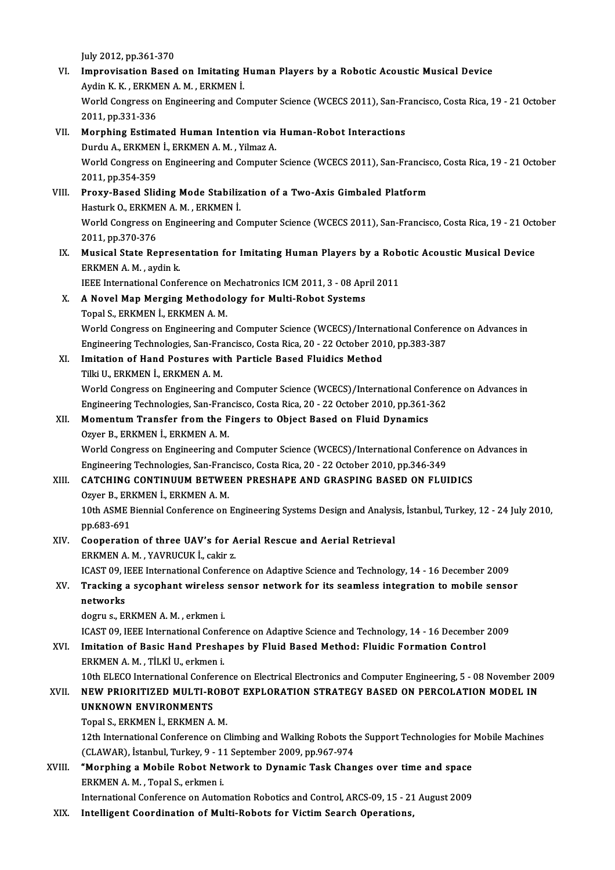July2012,pp.361-370

- July 2012, pp.361-370<br>VI. Improvisation Based on Imitating Human Players by a Robotic Acoustic Musical Device July 2012, pp.361-370<br>Improvisation Based on Imitating I<br>Aydin K. K. , ERKMEN A. M. , ERKMEN İ.<br>Werld Congress on Engineering and Co World Congress on Engineering and Computer Science (WCECS 2011), San-Francisco, Costa Rica, 19 - 21 October 2011, pp.331-336 Aydin K. K., ERKMEN A. M., ERKMEN İ.
- VII. Morphing Estimated Human Intention via Human-Robot Interactions 2011, pp.331-336<br>Morphing Estimated Human Intention via<br>Durdu A., ERKMEN İ., ERKMEN A. M. , Yilmaz A.<br>Werld Congress on Engineering and Computer World Congress on Engineering and Computer Science (WCECS 2011), San-Francisco, Costa Rica, 19 - 21 October 2011, pp.354-359 Durdu A., ERKMEN<br>World Congress or<br>2011, pp.354-359<br>Prowy Pased Slid World Congress on Engineering and Computer Science (WCECS 2011), San-Francise<br>2011, pp.354-359<br>VIII. Proxy-Based Sliding Mode Stabilization of a Two-Axis Gimbaled Platform<br>Hesturk O, ERKMEN A.M., ERKMEN i
- 2011, pp.354-359<br><mark>Proxy-Based Sliding Mode Stabiliz</mark><br>Hasturk O., ERKMEN A. M. , ERKMEN İ.<br>Werld Congress en Engineering and C World Congress on Engineering and Computer Science (WCECS 2011), San-Francisco, Costa Rica, 19 - 21 October 2011, pp.370-376 Hasturk O., ERKMEN A. M., ERKMEN İ. World Congress on Engineering and Computer Science (WCECS 2011), San-Francisco, Costa Rica, 19 - 21 Octo<br>2011, pp.370-376<br>IX. Musical State Representation for Imitating Human Players by a Robotic Acoustic Musical Device<br>EP
- 2011, pp.370-376<br>Musical State Represe<br>ERKMEN A. M. , aydin k.<br>IEEE International Conf Musical State Representation for Imitating Human Players by a Rob<br>ERKMEN A. M. , aydin k.<br>IEEE International Conference on Mechatronics ICM 2011, 3 - 08 April 2011<br>A Novel Man Marging Mathodology for Multi Bobot Systems ERKMEN A. M., aydin k.<br>IEEE International Conference on Mechatronics ICM 2011, 3 - 08 Apr<br>X. A Novel Map Merging Methodology for Multi-Robot Systems<br>Topel S. ERKMEN I, ERKMEN A M.

# IEEE International Conference on M<br>**A Novel Map Merging Methodo**<br>Topal S., ERKMEN İ., ERKMEN A. M.<br>Merld Congress on Engineering an

Topal S., ERKMEN İ., ERKMEN A. M.<br>World Congress on Engineering and Computer Science (WCECS)/International Conference on Advances in Topal S., ERKMEN İ., ERKMEN A. M.<br>World Congress on Engineering and Computer Science (WCECS)/International Conferent<br>Engineering Technologies, San-Francisco, Costa Rica, 20 - 22 October 2010, pp.383-387<br>Imitation of Hand B World Congress on Engineering and Computer Science (WCECS)/Interna<br>Engineering Technologies, San-Francisco, Costa Rica, 20 - 22 October 201<br>XI. Imitation of Hand Postures with Particle Based Fluidics Method<br>Tilli II. ERKME

Engineering Technologies, San-Fra<br>Imitation of Hand Postures wi<br>Tilki U., ERKMEN İ., ERKMEN A. M.<br>Werld Congress on Engineering al Imitation of Hand Postures with Particle Based Fluidics Method<br>Tilki U., ERKMEN İ., ERKMEN A. M.<br>World Congress on Engineering and Computer Science (WCECS)/International Conference on Advances in<br>Engineering Technologies S Tilki U., ERKMEN İ., ERKMEN A. M.<br>World Congress on Engineering and Computer Science (WCECS)/International Conferent<br>Engineering Technologies, San-Francisco, Costa Rica, 20 - 22 October 2010, pp.361-362<br>Momentum Transfor f

## World Congress on Engineering and Computer Science (WCECS)/International Con<br>Engineering Technologies, San-Francisco, Costa Rica, 20 - 22 October 2010, pp.361-<br>XII. Momentum Transfer from the Fingers to Object Based on Flu Engineering Technologies, San-Francisco, Costa Rica, 20 - 22 October 2010, pp.361-362<br>XII. Momentum Transfer from the Fingers to Object Based on Fluid Dynamics<br>Ozyer B., ERKMEN İ., ERKMEN A. M.

Momentum Transfer from the Fingers to Object Based on Fluid Dynamics<br>Ozyer B., ERKMEN İ., ERKMEN A. M.<br>World Congress on Engineering and Computer Science (WCECS)/International Conference on Advances in<br>Engineering Technolo Ozyer B., ERKMEN İ., ERKMEN A. M.<br>World Congress on Engineering and Computer Science (WCECS)/International Conferent<br>Engineering Technologies, San-Francisco, Costa Rica, 20 - 22 October 2010, pp.346-349<br>CATCHING CONTINUUM World Congress on Engineering and Computer Science (WCECS)/International Conference on<br>Engineering Technologies, San-Francisco, Costa Rica, 20 - 22 October 2010, pp.346-349<br>XIII. CATCHING CONTINUUM BETWEEN PRESHAPE AND GRA

# Engineering Technologies, San-Fran<br>CATCHING CONTINUUM BETWE<br>Ozyer B., ERKMEN İ., ERKMEN A. M.<br>10th ASME Bionnial Conference on

CATCHING CONTINUUM BETWEEN PRESHAPE AND GRASPING BASED ON FLUIDICS<br>Ozyer B., ERKMEN İ., ERKMEN A. M.<br>10th ASME Biennial Conference on Engineering Systems Design and Analysis, İstanbul, Turkey, 12 - 24 July 2010,<br>nn 683 601 Ozyer B., ER<br>10th ASME I<br>pp.683-691<br>Cooperatio 10th ASME Biennial Conference on Engineering Systems Design and Analys:<br>pp.683-691<br>XIV. Cooperation of three UAV's for Aerial Rescue and Aerial Retrieval

# pp.683-691<br>Cooperation of three UAV's for A<br>ERKMEN A. M. , YAVRUCUK İ., cakir z.<br>ICAST 00. JEEE International Conferes Cooperation of three UAV's for Aerial Rescue and Aerial Retrieval<br>ERKMEN A. M. , YAVRUCUK İ., cakir z.<br>ICAST 09, IEEE International Conference on Adaptive Science and Technology, 14 - 16 December 2009<br>Trasking a sysonbont

## ERKMEN A. M. , YAVRUCUK İ., cakir z.<br>ICAST 09, IEEE International Conference on Adaptive Science and Technology, 14 - 16 December 2009<br>XV. Tracking a sycophant wireless sensor network for its seamless integration to mo ICAST 09, I<br>Tracking<br>networks<br>dogrus El

dogru s., ERKMEN A. M., erkmen i.

ICAST 09, IEEE International Conference on Adaptive Science and Technology, 14 - 16 December 2009

#### XVI. Imitation of Basic Hand Preshapes by Fluid Based Method: Fluidic Formation Control ERKMENA.M. ,TİLKİU.,erkmeni. Imitation of Basic Hand Preshapes by Fluid Based Method: Fluidic Formation Control<br>ERKMEN A. M. , TİLKİ U., erkmen i.<br>10th ELECO International Conference on Electrical Electronics and Computer Engineering, 5 - 08 November

## ERKMEN A. M. , TİLKİ U., erkmen i.<br>10th ELECO International Conference on Electrical Electronics and Computer Engineering, 5 - 08 November 20<br>10th PRIORITIZED MULTI-ROBOT EXPLORATION STRATEGY BASED ON PERCOLATION MODEL IN 10th ELECO International Confer<br>NEW PRIORITIZED MULTI-RO<br>UNKNOWN ENVIRONMENTS<br>Tonel S. ERKMEN 1, ERKMEN 4 NEW PRIORITIZED MULTI-ROB<br>UNKNOWN ENVIRONMENTS<br>Topal S., ERKMEN İ., ERKMEN A. M.<br>12th International Conference on C

UNKNOWN ENVIRONMENTS<br>Topal S., ERKMEN İ., ERKMEN A. M.<br>12th International Conference on Climbing and Walking Robots the Support Technologies for Mobile Machines<br>(CLAWAP), İstanbul Turkov 9, ...1.1 September 2009, pp.967,97 Topal S., ERKMEN İ., ERKMEN A. M.<br>12th International Conference on Climbing and Walking Robots th<br>(CLAWAR), İstanbul, Turkey, 9 - 11 September 2009, pp.967-974<br>"Mannhing a Mobile Robat Natwork to Dynamia Task Chan 12th International Conference on Climbing and Walking Robots the Support Technologies for<br>(CLAWAR), İstanbul, Turkey, 9 - 11 September 2009, pp.967-974<br>XVIII. "Morphing a Mobile Robot Network to Dynamic Task Changes over t

(CLAWAR), İstanbul, Turkey, 9 - 1:<br>**"Morphing a Mobile Robot Net**<br>ERKMEN A. M. , Topal S., erkmen i. "Morphing a Mobile Robot Network to Dynamic Task Changes over time and space<br>ERKMEN A. M. , Topal S., erkmen i.<br>International Conference on Automation Robotics and Control, ARCS-09, 15 - 21 August 2009<br>Intelligent Coordina ERKMEN A. M. , Topal S., erkmen i.<br>International Conference on Automation Robotics and Control, ARCS-09, 15 - 21 August 2009<br>XIX. Intelligent Coordination of Multi-Robots for Victim Search Operations,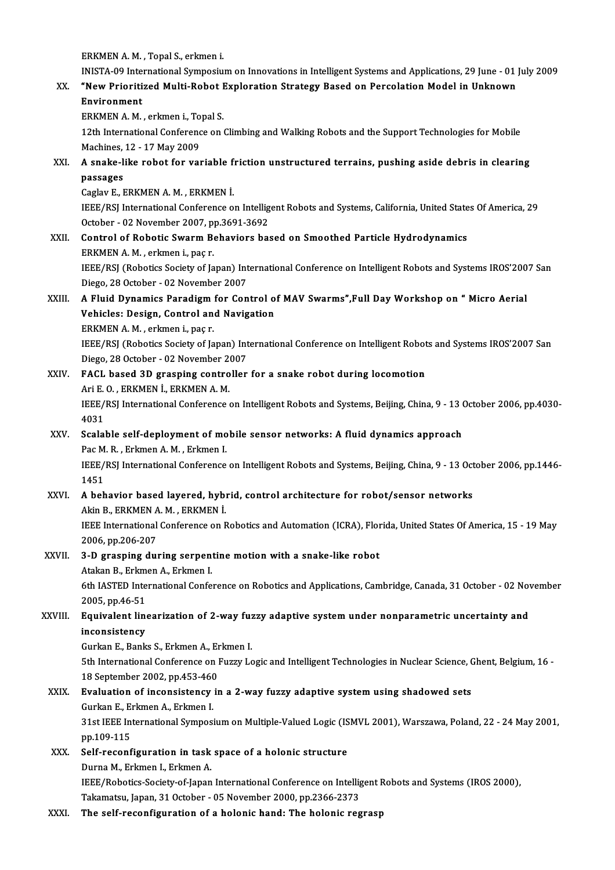ERKMENA.M. ,TopalS.,erkmeni.

ERKMEN A. M. , Topal S., erkmen i.<br>INISTA-09 International Symposium on Innovations in Intelligent Systems and Applications, 29 June - 01 July 2009<br>"New Prieritized Multi Rebet Eupleration Strategy Besed on Perselation Mod

## ERKMEN A. M. , Topal S., erkmen i.<br>INISTA-09 International Symposium on Innovations in Intelligent Systems and Applications, 29 June - 01<br>XX. "New Prioritized Multi-Robot Exploration Strategy Based on Percolation Model in INISTA-09 Inte<br>**"New Prioriti<br>Environment**<br>ERKMEN A M "New Prioritized Multi-Robot I<br>Environment<br>ERKMEN A. M. , erkmen i., Topal S.<br>12th International Conference on .

12th International Conference on Climbing and Walking Robots and the Support Technologies for Mobile<br>12th International Conference on Climbing and Walking Robots and the Support Technologies for Mobile<br>Machines, 12 - 17 Ma ERKMEN A. M. , erkmen i., To<br>12th International Conference<br>Machines, 12 - 17 May 2009<br>A spake like robot for voy 12th International Conference on Climbing and Walking Robots and the Support Technologies for Mobile<br>Machines, 12 - 17 May 2009<br>XXI. A snake-like robot for variable friction unstructured terrains, pushing aside debris in c

# Machines,<br>**A snake-l**:<br>passages<br>Coslov E **L** A snake-like robot for variable f<br>passages<br>Caglav E., ERKMEN A. M. , ERKMEN İ.<br>IEEE (PSI International Conference e

passages<br>Caglav E., ERKMEN A. M. , ERKMEN İ.<br>IEEE/RSJ International Conference on Intelligent Robots and Systems, California, United States Of America, 29<br>Osteber, .03 Nevember 2007, np.3691-3692 Caglav E., ERKMEN A. M. , ERKMEN İ.<br>IEEE/RSJ International Conference on Intellig<br>October - 02 November 2007, pp.3691-3692<br>Control of Bobotis Swarm Boboviors bes IEEE/RSJ International Conference on Intelligent Robots and Systems, California, United State<br>October - 02 November 2007, pp.3691-3692<br>XXII. Control of Robotic Swarm Behaviors based on Smoothed Particle Hydrodynamics<br>FRKME

October - 02 November 2007, pp.3691-3692<br>Control of Robotic Swarm Behaviors based on Smoothed Particle Hydrodynamics<br>ERKMEN A. M. , erkmen i., paç r. Control of Robotic Swarm Behaviors based on Smoothed Particle Hydrodynamics<br>ERKMEN A. M. , erkmen i., paç r.<br>IEEE/RSJ (Robotics Society of Japan) International Conference on Intelligent Robots and Systems IROS'2007 San<br>Die ERKMEN A. M. , erkmen i., paç r.<br>IEEE/RSJ (Robotics Society of Japan) Int<br>Diego, 28 October - 02 November 2007<br>A Eluid Dunamies Banadiam for Con

#### IEEE/RSJ (Robotics Society of Japan) International Conference on Intelligent Robots and Systems IROS'200<br>Diego, 28 October - 02 November 2007<br>XXIII. A Fluid Dynamics Paradigm for Control of MAV Swarms",Full Day Workshop on Diego, 28 October - 02 November 2007<br>A Fluid Dynamics Paradigm for Control o<br>Vehicles: Design, Control and Navigation Vehicles: Design, Control and Navigation<br>ERKMEN A.M., erkmen i., paç r. Vehicles: Design, Control and Navigation<br>ERKMEN A. M. , erkmen i., paç r.<br>IEEE/RSJ (Robotics Society of Japan) International Conference on Intelligent Robots and Systems IROS'2007 San<br>Diage 28 Ostaber, 03 Navember 2007

ERKMEN A. M. , erkmen i., paç r.<br>IEEE/RSJ (Robotics Society of Japan) Int<br>Diego, 28 October - 02 November 2007<br>EACL based 3D grasning sontroller IEEE/RSJ (Robotics Society of Japan) International Conference on Intelligent Robot<br>Diego, 28 October - 02 November 2007<br>XXIV. FACL based 3D grasping controller for a snake robot during locomotion<br>Ari E.O. ERKMEN I. ERKMEN

#### Diego, 28 October - 02 November 2007<br>FACL based 3D grasping controller for a snake robot during locomotion<br>Ari E. O., ERKMEN İ., ERKMEN A. M. FACL based 3D grasping controller for a snake robot during locomotion<br>Ari E. O. , ERKMEN İ., ERKMEN A. M.<br>IEEE/RSJ International Conference on Intelligent Robots and Systems, Beijing, China, 9 - 13 October 2006, pp.4030-<br>4 Ari E.<br>IEEE/<br>4031<br>Scalal

#### XXV. Scalable self-deployment ofmobile sensor networks: A fluid dynamics approach 4031<br>Scalable self-deployment of mo<br>Pac M. R. , Erkmen A. M. , Erkmen I.<br>IEEE/PSL International Conference

IEEE/RSJ International Conference on Intelligent Robots and Systems, Beijing, China, 9 - 13 October 2006, pp.1446-<br>1451 Pac M<br>IEEE/<br>1451<br>A beh IEEE/RSJ International Conference on Intelligent Robots and Systems, Beijing, China, 9 - 13 Oct<br>1451<br>XXVI. A behavior based layered, hybrid, control architecture for robot/sensor networks

## 1451<br>A behavior based layered, hybi<br>Akin B., ERKMEN A. M. , ERKMEN İ.<br>IEEE International Conference en E A behavior based layered, hybrid, control architecture for robot/sensor networks<br>Akin B., ERKMEN A. M. , ERKMEN İ.<br>IEEE International Conference on Robotics and Automation (ICRA), Florida, United States Of America, 15 - 19 Akin B., ERKMEN A<br>IEEE International<br>2006, pp.206-207<br>2. D. graening dui

#### IEEE International Conference on Robotics and Automation (ICRA), Flor<br>2006, pp.206-207<br>XXVII. 3-D grasping during serpentine motion with a snake-like robot<br>Atakan B. Frimon A. Frimon J. 2006, pp.206-207<br>3-D grasping during serpentine motion with a snake-like robot Atakan B., Erkmen A., Erkmen I.

6th IASTED International Conference on Robotics and Applications, Cambridge, Canada, 31 October - 02 November 2005, pp.46-51 6th IASTED International Conference on Robotics and Applications, Cambridge, Canada, 31 October - 02 Novellis<br>2005, pp.46-51<br>XXVIII. Equivalent linearization of 2-way fuzzy adaptive system under nonparametric uncertainty a

# 2005, pp.46-51<br>Equivalent line<br>inconsistency<br>Curkan E. Bank Equivalent linearization of 2-way fuz<br>inconsistency<br>Gurkan E., Banks S., Erkmen A., Erkmen I.<br>Eth International Conference on Euggy I.c

inconsistency<br>Gurkan E., Banks S., Erkmen A., Erkmen I.<br>5th International Conference on Fuzzy Logic and Intelligent Technologies in Nuclear Science, Ghent, Belgium, 16 -Gurkan E., Banks S., Erkmen A., Er<br>5th International Conference on 1<br>18 September 2002, pp.453-460<br>Evaluation of inconsistancy is 5th International Conference on Fuzzy Logic and Intelligent Technologies in Nuclear Science, C<br>18 September 2002, pp.453-460<br>XXIX. Evaluation of inconsistency in a 2-way fuzzy adaptive system using shadowed sets<br>Curkan E.

# 18 September 2002, pp.453-460<br>**Evaluation of inconsistency**<br>Gurkan E., Erkmen A., Erkmen I.

Evaluation of inconsistency in a 2-way fuzzy adaptive system using shadowed sets<br>Gurkan E., Erkmen A., Erkmen I.<br>31st IEEE International Symposium on Multiple-Valued Logic (ISMVL 2001), Warszawa, Poland, 22 - 24 May 2001,<br> Gurkan E., Erkmen A., Erkmen I.<br>31st IEEE International Symposium on Multiple-Valued Logic (ISMVL 2001), Warszawa, Poland, 22 - 24 May 2001,<br>pp.109-115 31st IEEE International Symposium on Multiple-Valued Logic (IS<br>pp.109-115<br>XXX. Self-reconfiguration in task space of a holonic structure<br>purpe M. Erlimen J. Erlimen A

#### pp.109-115<br>Self-reconfiguration in task<br>Durna M., Erkmen I., Erkmen A.<br>IEEE/Pobotics Sociaty of Japan Durna M., Erkmen I., Erkmen A.<br>IEEE/Robotics-Society-of-Japan International Conference on Intelligent Robots and Systems (IROS 2000), Takamatsu, Japan,31October -05November 2000,pp.2366-2373

XXXI. The self-reconfiguration of a holonic hand: The holonic regrasp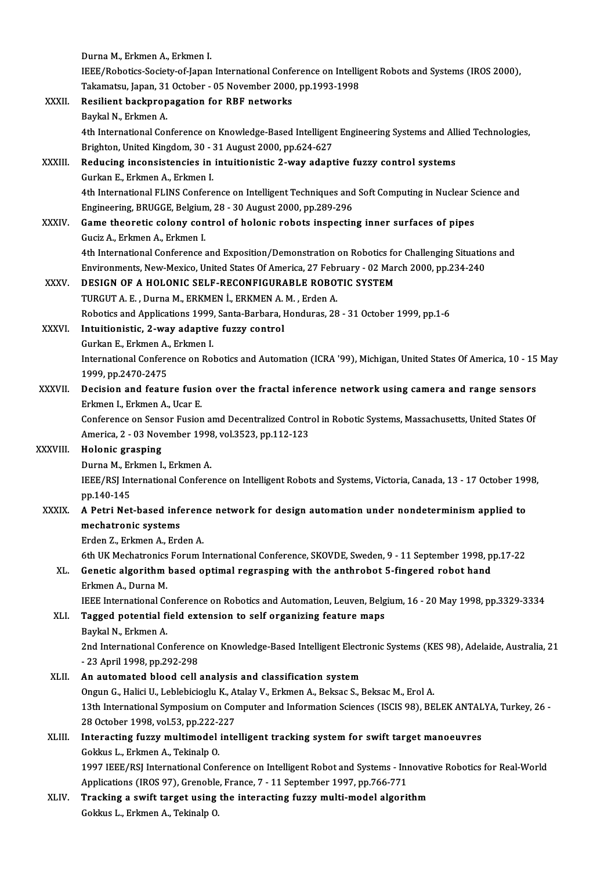|              | Durna M., Erkmen A., Erkmen I.                                                                                   |
|--------------|------------------------------------------------------------------------------------------------------------------|
|              | IEEE/Robotics-Society-of-Japan International Conference on Intelligent Robots and Systems (IROS 2000),           |
|              | Takamatsu, Japan, 31 October - 05 November 2000, pp.1993-1998                                                    |
| XXXII.       | Resilient backpropagation for RBF networks                                                                       |
|              | Baykal N., Erkmen A.                                                                                             |
|              | 4th International Conference on Knowledge-Based Intelligent Engineering Systems and Allied Technologies,         |
|              | Brighton, United Kingdom, 30 - 31 August 2000, pp.624-627                                                        |
| XXXIII.      | Reducing inconsistencies in intuitionistic 2-way adaptive fuzzy control systems                                  |
|              | Gurkan E., Erkmen A., Erkmen I.                                                                                  |
|              | 4th International FLINS Conference on Intelligent Techniques and Soft Computing in Nuclear Science and           |
|              | Engineering, BRUGGE, Belgium, 28 - 30 August 2000, pp.289-296                                                    |
| <b>XXXIV</b> | Game theoretic colony control of holonic robots inspecting inner surfaces of pipes                               |
|              | Guciz A, Erkmen A, Erkmen I                                                                                      |
|              | 4th International Conference and Exposition/Demonstration on Robotics for Challenging Situations and             |
|              | Environments, New-Mexico, United States Of America, 27 February - 02 March 2000, pp.234-240                      |
| XXXV.        | DESIGN OF A HOLONIC SELF-RECONFIGURABLE ROBOTIC SYSTEM                                                           |
|              | TURGUT A. E., Durna M., ERKMEN İ., ERKMEN A. M., Erden A.                                                        |
|              | Robotics and Applications 1999, Santa-Barbara, Honduras, 28 - 31 October 1999, pp.1-6                            |
| XXXVI.       | Intuitionistic, 2-way adaptive fuzzy control                                                                     |
|              | Gurkan E., Erkmen A., Erkmen I.                                                                                  |
|              | International Conference on Robotics and Automation (ICRA '99), Michigan, United States Of America, 10 - 15 May  |
|              | 1999, pp.2470-2475                                                                                               |
| XXXVII.      | Decision and feature fusion over the fractal inference network using camera and range sensors                    |
|              | Erkmen I., Erkmen A., Ucar E.                                                                                    |
|              | Conference on Sensor Fusion amd Decentralized Control in Robotic Systems, Massachusetts, United States Of        |
|              | America, 2 - 03 November 1998, vol.3523, pp.112-123                                                              |
| XXXVIII.     | Holonic grasping                                                                                                 |
|              | Durna M., Erkmen I., Erkmen A.                                                                                   |
|              | IEEE/RSJ International Conference on Intelligent Robots and Systems, Victoria, Canada, 13 - 17 October 1998,     |
|              | pp 140-145                                                                                                       |
| <b>XXXIX</b> | A Petri Net-based inference network for design automation under nondeterminism applied to                        |
|              | mechatronic systems                                                                                              |
|              | Erden Z., Erkmen A., Erden A.                                                                                    |
|              | 6th UK Mechatronics Forum International Conference, SKOVDE, Sweden, 9 - 11 September 1998, pp.17-22              |
| XL.          | Genetic algorithm based optimal regrasping with the anthrobot 5-fingered robot hand                              |
|              | Erkmen A., Durna M.                                                                                              |
|              | IEEE International Conference on Robotics and Automation, Leuven, Belgium, 16 - 20 May 1998, pp.3329-3334        |
| XLI.         | Tagged potential field extension to self organizing feature maps                                                 |
|              | Baykal N., Erkmen A.                                                                                             |
|              | 2nd International Conference on Knowledge-Based Intelligent Electronic Systems (KES 98), Adelaide, Australia, 21 |
|              | - 23 April 1998, pp 292-298                                                                                      |
| XLII.        | An automated blood cell analysis and classification system                                                       |
|              | Ongun G., Halici U., Leblebicioglu K., Atalay V., Erkmen A., Beksac S., Beksac M., Erol A.                       |
|              | 13th International Symposium on Computer and Information Sciences (ISCIS 98), BELEK ANTALYA, Turkey, 26 -        |
|              | 28 October 1998, vol.53, pp.222-227                                                                              |
| XLIII.       | Interacting fuzzy multimodel intelligent tracking system for swift target manoeuvres                             |
|              | Gokkus L., Erkmen A., Tekinalp O.                                                                                |
|              | 1997 IEEE/RSJ International Conference on Intelligent Robot and Systems - Innovative Robotics for Real-World     |
|              | Applications (IROS 97), Grenoble, France, 7 - 11 September 1997, pp.766-771                                      |
| XLIV.        | Tracking a swift target using the interacting fuzzy multi-model algorithm                                        |
|              | Gokkus L., Erkmen A., Tekinalp O.                                                                                |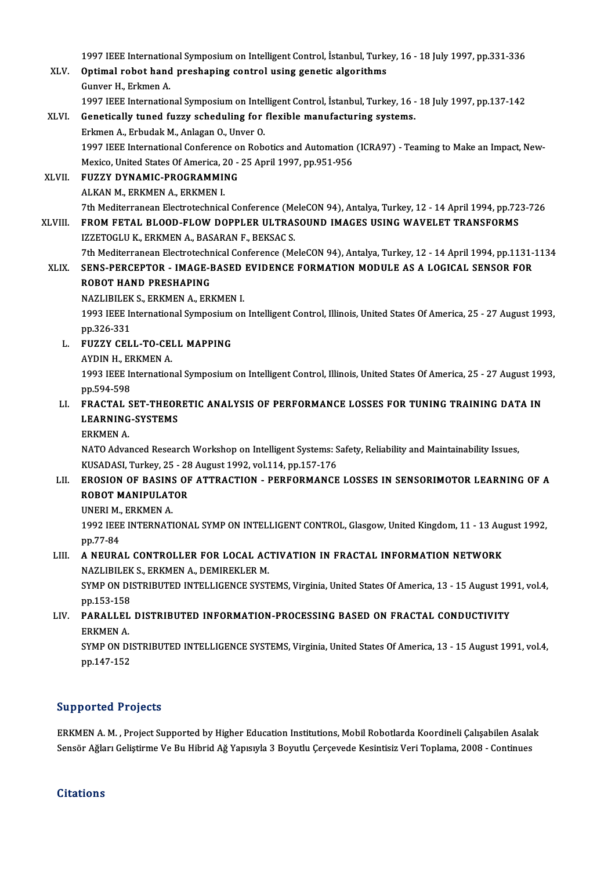1997 IEEE International Symposium on Intelligent Control, İstanbul, Turkey, 16 - 18 July 1997, pp.331-336<br>Ontimal rabat band presbaning santrol using sanatis alsonithme

1997 IEEE International Symposium on Intelligent Control, İstanbul, Turke<br>XLV. Optimal robot hand preshaping control using genetic algorithms<br>Cunyor H. Erlman A 1997 IEEE Internation<br>Optimal robot hand<br>Gunver H., Erkmen A.<br>1007 IEEE Internation Optimal robot hand preshaping control using genetic algorithms<br>Gunver H., Erkmen A.<br>1997 IEEE International Symposium on Intelligent Control, İstanbul, Turkey, 16 - 18 July 1997, pp.137-142<br>Constissily tuned fuggy schoduli Gunver H., Erkmen A.<br>1997 IEEE International Symposium on Intelligent Control, İstanbul, Turkey, 16 -<br>XLVI. Genetically tuned fuzzy scheduling for flexible manufacturing systems.<br>Erkmen A., Erbudak M., Anlagan O., Unver O.

## 1997 IEEE International Symposium on Intel<br>Genetically tuned fuzzy scheduling for<br>Erkmen A., Erbudak M., Anlagan O., Unver O.<br>1997 IEEE International Conference on Bob Genetically tuned fuzzy scheduling for flexible manufacturing systems.<br>Erkmen A., Erbudak M., Anlagan O., Unver O.<br>1997 IEEE International Conference on Robotics and Automation (ICRA97) - Teaming to Make an Impact, New-<br>Me Erkmen A., Erbudak M., Anlagan O., Unver O.<br>1997 IEEE International Conference on Robotics and Automation<br>Mexico, United States Of America, 20 - 25 April 1997, pp.951-956<br>EUZZY DYNAMIC BROCRAMMING

Mexico, United States Of America, 20 - 25 April 1997, pp.951-956<br>XLVII. FUZZY DYNAMIC-PROGRAMMING ALKAN M., ERKMEN A., ERKMEN I. FUZZY DYNAMIC-PROGRAMMING<br>ALKAN M., ERKMEN A., ERKMEN I.<br>7th Mediterranean Electrotechnical Conference (MeleCON 94), Antalya, Turkey, 12 - 14 April 1994, pp.723-726<br>EROM EETAL BLOOD ELOW DOBBLER III TRASOUND IMAGES USING W

XLVIII. FROM FETAL BLOOD-FLOW DOPPLER ULTRASOUND IMAGES USING WAVELET TRANSFORMS<br>IZZETOGLU K., ERKMEN A., BASARAN F., BEKSAC S. 7th Mediterranean Electrotechnical Conference (Me<br>FROM FETAL BLOOD-FLOW DOPPLER ULTRAS<br>IZZETOGLU K., ERKMEN A., BASARAN F., BEKSAC S.<br>7th Mediterranean Electratechnical Conference (Me FROM FETAL BLOOD-FLOW DOPPLER ULTRASOUND IMAGES USING WAVELET TRANSFORMS<br>IZZETOGLU K., ERKMEN A., BASARAN F., BEKSAC S.<br>7th Mediterranean Electrotechnical Conference (MeleCON 94), Antalya, Turkey, 12 - 14 April 1994, pp.11

IZZETOGLU K., ERKMEN A., BASARAN F., BEKSAC S.<br>7th Mediterranean Electrotechnical Conference (MeleCON 94), Antalya, Turkey, 12 - 14 April 1994, pp.1131-<br>XLIX. SENS-PERCEPTOR - IMAGE-BASED EVIDENCE FORMATION MODULE AS A LOG 7th Mediterranean Electrotechr<br>SENS-PERCEPTOR - IMAGE-F<br>ROBOT HAND PRESHAPING<br>NAZI IBU EV S-ERVMEN A-ERI XLIX. SENS-PERCEPTOR - IMAGE-BASED EVIDENCE FORMATION MODULE AS A LOGICAL SENSOR FOR<br>ROBOT HAND PRESHAPING

NAZLIBILEK S., ERKMEN A., ERKMEN I.

1993 IEEE International Symposium on Intelligent Control, Illinois, United States Of America, 25 - 27 August 1993, pp.326-331 1993 IEEE International Symposium<br>pp.326-331<br>L. FUZZY CELL-TO-CELL MAPPING<br>AVDIN H. ERKMEN A

pp.326-331<br>FUZZY CELL-TO-CEI<br>AYDIN H., ERKMEN A.<br>1992 IEEE Internation

FUZZY CELL-TO-CELL MAPPING<br>AYDIN H., ERKMEN A.<br>1993 IEEE International Symposium on Intelligent Control, Illinois, United States Of America, 25 - 27 August 1993,<br>nn 504 509 AYDIN H., EF<br>1993 IEEE II<br>pp.594-598<br>EPACTAL S 1993 IEEE International Symposium on Intelligent Control, Illinois, United States Of America, 25 - 27 August 199<br>pp.594-598<br>LI. FRACTAL SET-THEORETIC ANALYSIS OF PERFORMANCE LOSSES FOR TUNING TRAINING DATA IN

#### pp.594-598<br>FRACTAL SET-THEOR<br>LEARNING-SYSTEMS<br>ERKMEN A FRACTAL S<br>LEARNING<br>ERKMEN A. LEARNING-SYSTEMS<br>ERKMEN A.<br>NATO Advanced Research Workshop on Intelligent Systems: Safety, Reliability and Maintainability Issues,

KUSADASI, Turkey, 25 - 28 August 1992, vol.114, pp.157-176 NATO Advanced Research Workshop on Intelligent Systems: Safety, Reliability and Maintainability Issues,<br>KUSADASI, Turkey, 25 - 28 August 1992, vol.114, pp.157-176<br>LII. EROSION OF BASINS OF ATTRACTION - PERFORMANCE LOSSES I

# KUSADASI, Turkey, 25 - 28<br><mark>EROSION OF BASINS OF</mark><br>ROBOT MANIPULATOR<br>UNERLM, ERKMEN A **EROSION OF BASIN:<br>ROBOT MANIPULAT<br>UNERI M., ERKMEN A.**

ROBOT MANIPULATOR<br>UNERI M., ERKMEN A.<br>1992 IEEE INTERNATIONAL SYMP ON INTELLIGENT CONTROL, Glasgow, United Kingdom, 11 - 13 August 1992, UNERI M.,<br>1992 IEEI<br>pp.77-84<br>A NEUPA 1992 IEEE INTERNATIONAL SYMP ON INTELLIGENT CONTROL, Glasgow, United Kingdom, 11 - 13 Aug<br>pp.77-84<br>LIII. A NEURAL CONTROLLER FOR LOCAL ACTIVATION IN FRACTAL INFORMATION NETWORK

#### pp.77-84<br>A NEURAL CONTROLLER FOR LOCAL AC<br>NAZLIBILEK S., ERKMEN A., DEMIREKLER M.<br>SYMP ON DISTRIBUTED INTELLICENCE SYST NAZLIBILEK S., ERKMEN A., DEMIREKLER M.

SYMP ON DISTRIBUTED INTELLIGENCE SYSTEMS, Virginia, United States Of America, 13 - 15 August 1991, vol.4, pp.153-158 SYMP ON DISTRIBUTED INTELLIGENCE SYSTEMS, Virginia, United States Of America, 13 - 15 August 19<br>pp.153-158<br>LIV. PARALLEL DISTRIBUTED INFORMATION-PROCESSING BASED ON FRACTAL CONDUCTIVITY

# PP.153-158<br>**PARALLEL<br>ERKMEN A.<br>SYMP ON D**1 PARALLEL DISTRIBUTED INFORMATION-PROCESSING BASED ON FRACTAL CONDUCTIVITY<br>ERKMEN A.<br>SYMP ON DISTRIBUTED INTELLIGENCE SYSTEMS, Virginia, United States Of America, 13 - 15 August 1991, vol.4,<br>nn 147 152

ERKMEN A.<br>SYMP ON DISTRIBUTED INTELLIGENCE SYSTEMS, Virginia, United States Of America, 13 - 15 August 1991, vol.4,<br>pp.147-152

#### Supported Projects

Supported Projects<br>ERKMEN A. M. , Project Supported by Higher Education Institutions, Mobil Robotlarda Koordineli Çalışabilen Asalak<br>Songër Ağları Çalistirma Va Bu Hihrid Ağ Yanıqula 3 Bayıtlu Gargayada Kosintisiz Vari Tan Supportson 119jsses<br>ERKMEN A. M. , Project Supported by Higher Education Institutions, Mobil Robotlarda Koordineli Çalışabilen Asalal<br>Sensör Ağları Geliştirme Ve Bu Hibrid Ağ Yapısıyla 3 Boyutlu Çerçevede Kesintisiz Veri T Sensör Ağları Geliştirme Ve Bu Hibrid Ağ Yapısıyla 3 Boyutlu Çerçevede Kesintisiz Veri Toplama, 2008 - Continues<br>Citations